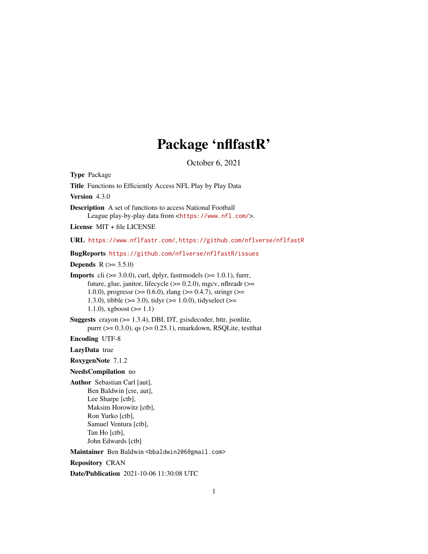# Package 'nflfastR'

October 6, 2021

<span id="page-0-0"></span>Type Package Title Functions to Efficiently Access NFL Play by Play Data Version 4.3.0 Description A set of functions to access National Football League play-by-play data from <<https://www.nfl.com/>>. License MIT + file LICENSE URL <https://www.nflfastr.com/>, <https://github.com/nflverse/nflfastR> BugReports <https://github.com/nflverse/nflfastR/issues> **Depends**  $R (= 3.5.0)$ **Imports** cli  $(>= 3.0.0)$ , curl, dplyr, fastrmodels  $(>= 1.0.1)$ , furrr, future, glue, janitor, lifecycle  $(>= 0.2.0)$ , mgcv, nflreadr  $(>= 0.2.0)$ 1.0.0), progressr (>= 0.6.0), rlang (>= 0.4.7), stringr (>= 1.3.0), tibble ( $>= 3.0$ ), tidyr ( $>= 1.0.0$ ), tidyselect ( $>= 1.3$ 1.1.0), xgboost  $(>= 1.1)$ Suggests crayon (>= 1.3.4), DBI, DT, gsisdecoder, httr, jsonlite, purrr ( $>= 0.3.0$ ), qs ( $>= 0.25.1$ ), rmarkdown, RSQLite, testthat Encoding UTF-8 LazyData true RoxygenNote 7.1.2 NeedsCompilation no Author Sebastian Carl [aut], Ben Baldwin [cre, aut], Lee Sharpe [ctb], Maksim Horowitz [ctb], Ron Yurko [ctb], Samuel Ventura [ctb], Tan Ho [ctb], John Edwards [ctb] Maintainer Ben Baldwin <br/>bbaldwin206@gmail.com> Repository CRAN Date/Publication 2021-10-06 11:30:08 UTC

1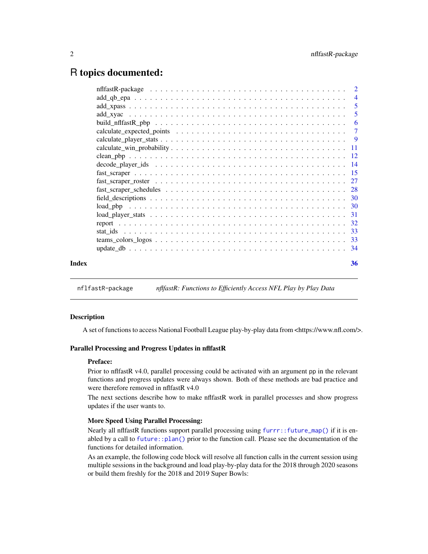# <span id="page-1-0"></span>R topics documented:

| Index | 36 |
|-------|----|
|       |    |

nflfastR-package *nflfastR: Functions to Efficiently Access NFL Play by Play Data*

#### <span id="page-1-1"></span>Description

A set of functions to access National Football League play-by-play data from <https://www.nfl.com/>.

#### Parallel Processing and Progress Updates in nflfastR

#### Preface:

Prior to nflfastR v4.0, parallel processing could be activated with an argument pp in the relevant functions and progress updates were always shown. Both of these methods are bad practice and were therefore removed in nflfastR v4.0

The next sections describe how to make nflfastR work in parallel processes and show progress updates if the user wants to.

#### More Speed Using Parallel Processing:

Nearly all nflfastR functions support parallel processing using  $furr:$ : future\_map() if it is enabled by a call to [future::plan\(\)](#page-0-0) prior to the function call. Please see the documentation of the functions for detailed information.

As an example, the following code block will resolve all function calls in the current session using multiple sessions in the background and load play-by-play data for the 2018 through 2020 seasons or build them freshly for the 2018 and 2019 Super Bowls: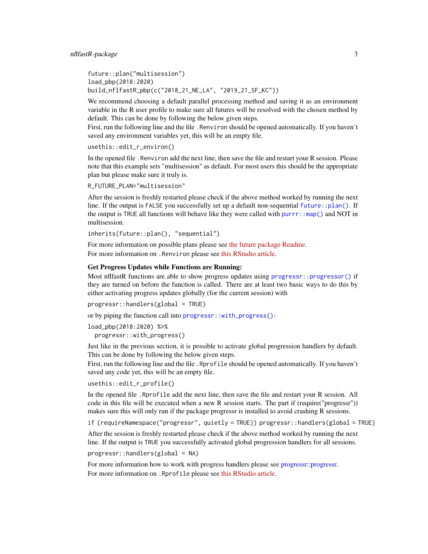```
future::plan("multisession")
load_pbp(2018:2020)
build_nflfastR_pbp(c("2018_21_NE_LA", "2019_21_SF_KC"))
```
We recommend choosing a default parallel processing method and saving it as an environment variable in the R user profile to make sure all futures will be resolved with the chosen method by default. This can be done by following the below given steps.

First, run the following line and the file .Renviron should be opened automatically. If you haven't saved any environment variables yet, this will be an empty file.

usethis::edit\_r\_environ()

In the opened file .Renviron add the next line, then save the file and restart your R session. Please note that this example sets "multisession" as default. For most users this should be the appropriate plan but please make sure it truly is.

R\_FUTURE\_PLAN="multisession"

After the session is freshly restarted please check if the above method worked by running the next line. If the output is FALSE you successfully set up a default non-sequential [future::plan\(\)](#page-0-0). If the output is TRUE all functions will behave like they were called with  $\text{purr}:map()$  and NOT in multisession.

inherits(future::plan(), "sequential")

For more information on possible plans please see [the future package Readme.](https://github.com/HenrikBengtsson/future/blob/develop/README.md) For more information on .Renviron please see [this RStudio article.](https://support.rstudio.com/hc/en-us/articles/360047157094-Managing-R-with-Rprofile-Renviron-Rprofile-site-Renviron-site-rsession-conf-and-repos-conf)

#### Get Progress Updates while Functions are Running:

Most nflfastR functions are able to show progress updates using [progressr::progressor\(\)](#page-0-0) if they are turned on before the function is called. There are at least two basic ways to do this by either activating progress updates globally (for the current session) with

progressr::handlers(global = TRUE)

or by piping the function call into [progressr::with\\_progress\(\)](#page-0-0):

load\_pbp(2018:2020) %>%

progressr::with\_progress()

Just like in the previous section, it is possible to activate global progression handlers by default. This can be done by following the below given steps.

First, run the following line and the file . Rprofile should be opened automatically. If you haven't saved any code yet, this will be an empty file.

usethis::edit\_r\_profile()

In the opened file .Rprofile add the next line, then save the file and restart your R session. All code in this file will be executed when a new R session starts. The part if (require("progressr")) makes sure this will only run if the package progressr is installed to avoid crashing R sessions.

if (requireNamespace("progressr", quietly = TRUE)) progressr::handlers(global = TRUE)

After the session is freshly restarted please check if the above method worked by running the next line. If the output is TRUE you successfully activated global progression handlers for all sessions.

progressr::handlers(global = NA)

For more information how to work with progress handlers please see [progressr::progressr.](#page-0-0) For more information on .Rprofile please see [this RStudio article.](https://support.rstudio.com/hc/en-us/articles/360047157094-Managing-R-with-Rprofile-Renviron-Rprofile-site-Renviron-site-rsession-conf-and-repos-conf)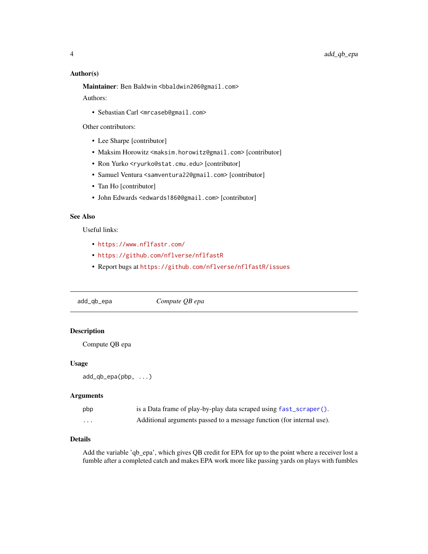# Author(s)

Maintainer: Ben Baldwin <bbaldwin206@gmail.com> Authors:

• Sebastian Carl <mrcaseb@gmail.com>

Other contributors:

- Lee Sharpe [contributor]
- Maksim Horowitz <maksim.horowitz@gmail.com> [contributor]
- Ron Yurko <ryurko@stat.cmu.edu> [contributor]
- Samuel Ventura <samventura22@gmail.com> [contributor]
- Tan Ho [contributor]
- John Edwards <edwards1860@gmail.com> [contributor]

# See Also

Useful links:

- <https://www.nflfastr.com/>
- <https://github.com/nflverse/nflfastR>
- Report bugs at <https://github.com/nflverse/nflfastR/issues>

<span id="page-3-1"></span>add\_qb\_epa *Compute QB epa*

# Description

Compute QB epa

#### Usage

add\_qb\_epa(pbp, ...)

#### Arguments

| pbp | is a Data frame of play-by-play data scraped using fast_scraper().    |
|-----|-----------------------------------------------------------------------|
| .   | Additional arguments passed to a message function (for internal use). |

#### Details

Add the variable 'qb\_epa', which gives QB credit for EPA for up to the point where a receiver lost a fumble after a completed catch and makes EPA work more like passing yards on plays with fumbles

<span id="page-3-0"></span>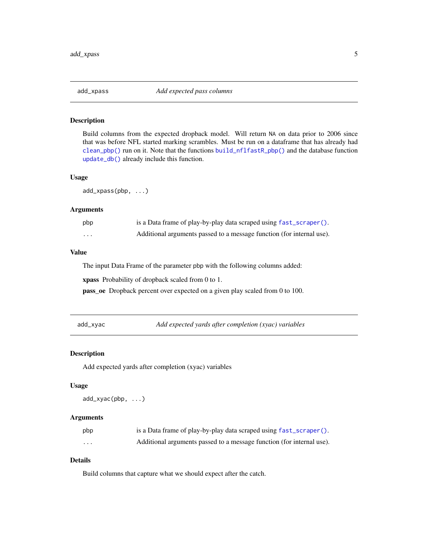<span id="page-4-2"></span><span id="page-4-0"></span>

# Description

Build columns from the expected dropback model. Will return NA on data prior to 2006 since that was before NFL started marking scrambles. Must be run on a dataframe that has already had [clean\\_pbp\(\)](#page-11-1) run on it. Note that the functions [build\\_nflfastR\\_pbp\(\)](#page-5-1) and the database function [update\\_db\(\)](#page-33-1) already include this function.

# Usage

add\_xpass(pbp, ...)

#### Arguments

| pbp | is a Data frame of play-by-play data scraped using fast_scraper().    |
|-----|-----------------------------------------------------------------------|
| .   | Additional arguments passed to a message function (for internal use). |

#### Value

The input Data Frame of the parameter pbp with the following columns added:

xpass Probability of dropback scaled from 0 to 1.

pass\_oe Dropback percent over expected on a given play scaled from 0 to 100.

<span id="page-4-1"></span>add\_xyac *Add expected yards after completion (xyac) variables*

#### Description

Add expected yards after completion (xyac) variables

#### Usage

add\_xyac(pbp, ...)

#### Arguments

| pbp     | is a Data frame of play-by-play data scraped using fast_scraper().    |
|---------|-----------------------------------------------------------------------|
| $\cdot$ | Additional arguments passed to a message function (for internal use). |

# Details

Build columns that capture what we should expect after the catch.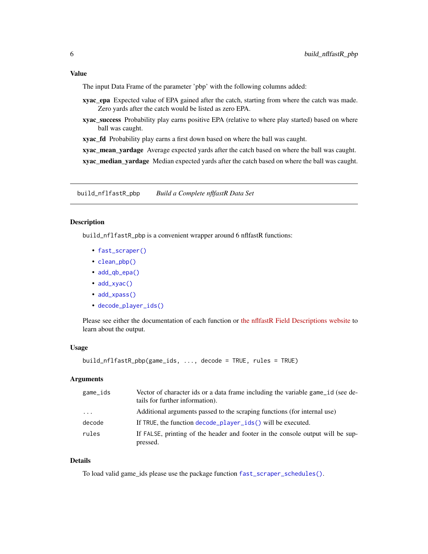# <span id="page-5-0"></span>Value

The input Data Frame of the parameter 'pbp' with the following columns added:

- xyac\_epa Expected value of EPA gained after the catch, starting from where the catch was made. Zero yards after the catch would be listed as zero EPA.
- xyac\_success Probability play earns positive EPA (relative to where play started) based on where ball was caught.

xyac\_fd Probability play earns a first down based on where the ball was caught.

xyac\_mean\_yardage Average expected yards after the catch based on where the ball was caught.

xyac\_median\_yardage Median expected yards after the catch based on where the ball was caught.

<span id="page-5-1"></span>build\_nflfastR\_pbp *Build a Complete nflfastR Data Set*

#### Description

build\_nflfastR\_pbp is a convenient wrapper around 6 nflfastR functions:

- [fast\\_scraper\(\)](#page-14-1)
- [clean\\_pbp\(\)](#page-11-1)
- [add\\_qb\\_epa\(\)](#page-3-1)
- [add\\_xyac\(\)](#page-4-1)
- [add\\_xpass\(\)](#page-4-2)
- [decode\\_player\\_ids\(\)](#page-13-1)

Please see either the documentation of each function or [the nflfastR Field Descriptions website](https://www.nflfastr.com/articles/field_descriptions.html) to learn about the output.

#### Usage

```
build_nflfastR_pbp(game_ids, ..., decode = TRUE, rules = TRUE)
```
#### Arguments

| game_ids                | Vector of character ids or a data frame including the variable game id (see de-<br>tails for further information). |
|-------------------------|--------------------------------------------------------------------------------------------------------------------|
| $\cdot$ $\cdot$ $\cdot$ | Additional arguments passed to the scraping functions (for internal use)                                           |
| decode                  | If TRUE, the function decode player ids () will be executed.                                                       |
| rules                   | If FALSE, printing of the header and footer in the console output will be sup-<br>pressed.                         |

# Details

To load valid game\_ids please use the package function [fast\\_scraper\\_schedules\(\)](#page-27-1).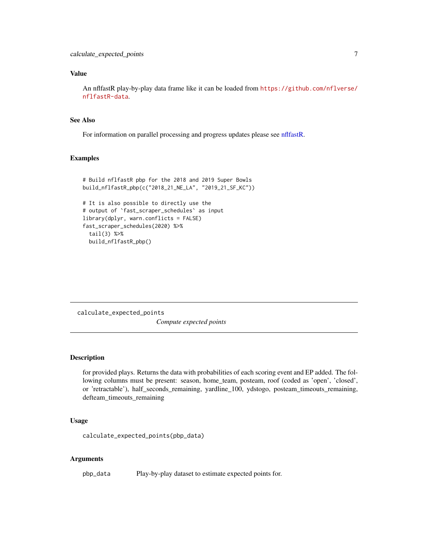# <span id="page-6-0"></span>Value

An nflfastR play-by-play data frame like it can be loaded from [https://github.com/nflverse/](https://github.com/nflverse/nflfastR-data) [nflfastR-data](https://github.com/nflverse/nflfastR-data).

# See Also

For information on parallel processing and progress updates please see [nflfastR.](#page-1-1)

#### Examples

```
# Build nflfastR pbp for the 2018 and 2019 Super Bowls
build_nflfastR_pbp(c("2018_21_NE_LA", "2019_21_SF_KC"))
# It is also possible to directly use the
# output of `fast_scraper_schedules` as input
library(dplyr, warn.conflicts = FALSE)
fast_scraper_schedules(2020) %>%
 tail(3) %>%
 build_nflfastR_pbp()
```
calculate\_expected\_points *Compute expected points*

# Description

for provided plays. Returns the data with probabilities of each scoring event and EP added. The following columns must be present: season, home\_team, posteam, roof (coded as 'open', 'closed', or 'retractable'), half\_seconds\_remaining, yardline\_100, ydstogo, posteam\_timeouts\_remaining, defteam\_timeouts\_remaining

#### Usage

```
calculate_expected_points(pbp_data)
```
#### Arguments

pbp\_data Play-by-play dataset to estimate expected points for.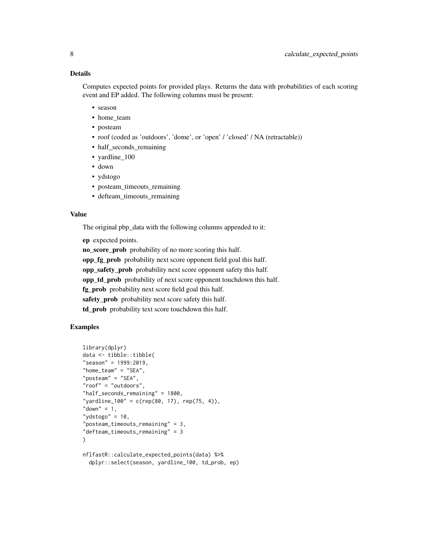# Details

Computes expected points for provided plays. Returns the data with probabilities of each scoring event and EP added. The following columns must be present:

- season
- home team
- posteam
- roof (coded as 'outdoors', 'dome', or 'open' / 'closed' / NA (retractable))
- half\_seconds\_remaining
- vardline 100
- down
- ydstogo
- posteam\_timeouts\_remaining
- defteam\_timeouts\_remaining

#### Value

The original pbp\_data with the following columns appended to it:

ep expected points.

no\_score\_prob probability of no more scoring this half.

opp\_fg\_prob probability next score opponent field goal this half.

opp\_safety\_prob probability next score opponent safety this half.

opp\_td\_prob probability of next score opponent touchdown this half.

fg prob probability next score field goal this half.

safety\_prob probability next score safety this half.

td\_prob probability text score touchdown this half.

# Examples

```
library(dplyr)
data <- tibble::tibble(
"season" = 1999:2019,
"home_team" = "SEA",
"posteam" = "SEA","roof" = "outdoors",
"half_seconds_remaining" = 1800,
"yardline_100" = c(rep(80, 17), rep(75, 4)),"down" = 1,
"ydstogo" = 10,
"posteam_timeouts_remaining" = 3,
"defteam_timeouts_remaining" = 3
)
nflfastR::calculate_expected_points(data) %>%
```

```
dplyr::select(season, yardline_100, td_prob, ep)
```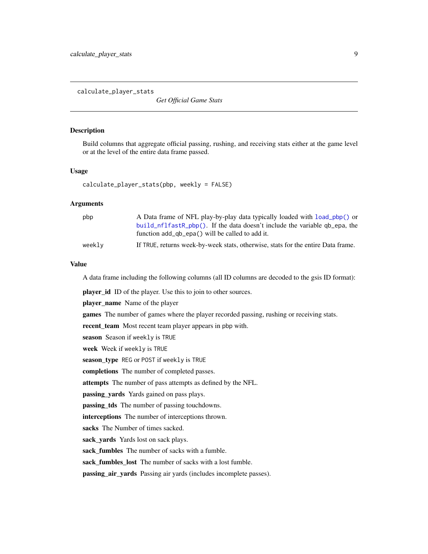<span id="page-8-1"></span><span id="page-8-0"></span>calculate\_player\_stats

*Get Official Game Stats*

# Description

Build columns that aggregate official passing, rushing, and receiving stats either at the game level or at the level of the entire data frame passed.

#### Usage

```
calculate_player_stats(pbp, weekly = FALSE)
```
# **Arguments**

| pbp    | A Data frame of NFL play-by-play data typically loaded with load_pbp() or<br>build nflfastR pbp(). If the data doesn't include the variable qb epa, the |
|--------|---------------------------------------------------------------------------------------------------------------------------------------------------------|
|        | function add_qb_epa() will be called to add it.                                                                                                         |
| weekly | If TRUE, returns week-by-week stats, otherwise, stats for the entire Data frame.                                                                        |

#### Value

A data frame including the following columns (all ID columns are decoded to the gsis ID format):

player\_id ID of the player. Use this to join to other sources.

player\_name Name of the player

games The number of games where the player recorded passing, rushing or receiving stats.

recent\_team Most recent team player appears in pbp with.

season Season if weekly is TRUE

week Week if weekly is TRUE

season\_type REG or POST if weekly is TRUE

completions The number of completed passes.

attempts The number of pass attempts as defined by the NFL.

**passing\_yards** Yards gained on pass plays.

passing\_tds The number of passing touchdowns.

interceptions The number of interceptions thrown.

sacks The Number of times sacked.

sack yards Yards lost on sack plays.

sack fumbles The number of sacks with a fumble.

sack\_fumbles\_lost The number of sacks with a lost fumble.

passing\_air\_yards Passing air yards (includes incomplete passes).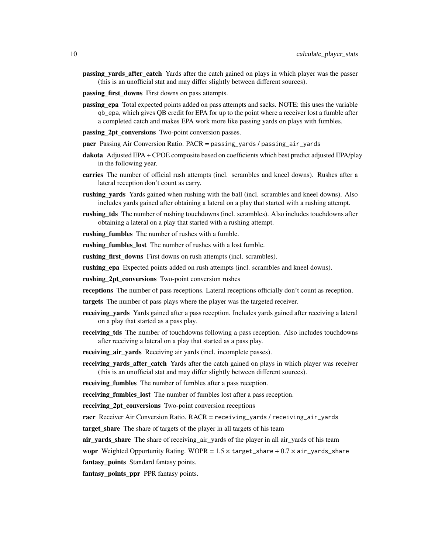- passing\_yards\_after\_catch Yards after the catch gained on plays in which player was the passer (this is an unofficial stat and may differ slightly between different sources).
- passing first downs First downs on pass attempts.
- passing\_epa Total expected points added on pass attempts and sacks. NOTE: this uses the variable qb\_epa, which gives QB credit for EPA for up to the point where a receiver lost a fumble after a completed catch and makes EPA work more like passing yards on plays with fumbles.
- **passing 2pt conversions** Two-point conversion passes.
- pacr Passing Air Conversion Ratio. PACR = passing\_yards / passing\_air\_yards
- dakota Adjusted EPA + CPOE composite based on coefficients which best predict adjusted EPA/play in the following year.
- carries The number of official rush attempts (incl. scrambles and kneel downs). Rushes after a lateral reception don't count as carry.
- rushing\_yards Yards gained when rushing with the ball (incl. scrambles and kneel downs). Also includes yards gained after obtaining a lateral on a play that started with a rushing attempt.
- rushing tds The number of rushing touchdowns (incl. scrambles). Also includes touchdowns after obtaining a lateral on a play that started with a rushing attempt.

rushing\_fumbles The number of rushes with a fumble.

rushing\_fumbles\_lost The number of rushes with a lost fumble.

rushing first downs First downs on rush attempts (incl. scrambles).

rushing\_epa Expected points added on rush attempts (incl. scrambles and kneel downs).

rushing 2pt conversions Two-point conversion rushes

receptions The number of pass receptions. Lateral receptions officially don't count as reception.

targets The number of pass plays where the player was the targeted receiver.

- receiving\_yards Yards gained after a pass reception. Includes yards gained after receiving a lateral on a play that started as a pass play.
- receiving tds The number of touchdowns following a pass reception. Also includes touchdowns after receiving a lateral on a play that started as a pass play.
- **receiving\_air\_yards** Receiving air yards (incl. incomplete passes).
- receiving vards after catch Yards after the catch gained on plays in which player was receiver (this is an unofficial stat and may differ slightly between different sources).

**receiving\_fumbles** The number of fumbles after a pass reception.

receiving\_fumbles\_lost The number of fumbles lost after a pass reception.

receiving 2pt conversions Two-point conversion receptions

racr Receiver Air Conversion Ratio.  $RACR =$  receiving\_yards / receiving\_air\_yards

target share The share of targets of the player in all targets of his team

air vards share The share of receiving air yards of the player in all air yards of his team

wopr Weighted Opportunity Rating. WOPR =  $1.5 \times$  target\_share +  $0.7 \times$  air\_yards\_share

fantasy\_points Standard fantasy points.

fantasy\_points\_ppr PPR fantasy points.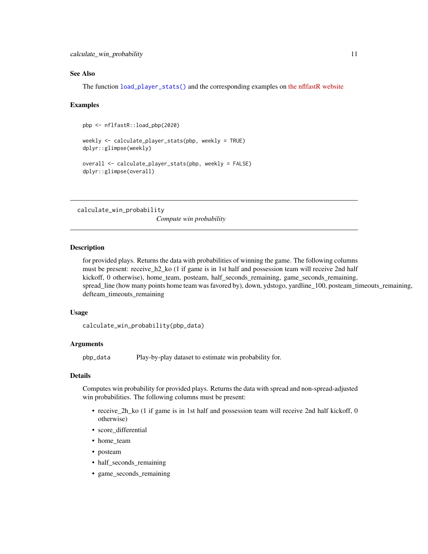#### <span id="page-10-0"></span>See Also

The function [load\\_player\\_stats\(\)](#page-30-1) and the corresponding examples on [the nflfastR website](https://www.nflfastr.com/articles/nflfastR.html#example-11-replicating-official-stats)

#### Examples

```
pbp <- nflfastR::load_pbp(2020)
weekly <- calculate_player_stats(pbp, weekly = TRUE)
dplyr::glimpse(weekly)
overall <- calculate_player_stats(pbp, weekly = FALSE)
dplyr::glimpse(overall)
```
calculate\_win\_probability

*Compute win probability*

#### **Description**

for provided plays. Returns the data with probabilities of winning the game. The following columns must be present: receive\_h2\_ko (1 if game is in 1st half and possession team will receive 2nd half kickoff, 0 otherwise), home\_team, posteam, half\_seconds\_remaining, game\_seconds\_remaining, spread\_line (how many points home team was favored by), down, ydstogo, yardline\_100, posteam\_timeouts\_remaining, defteam\_timeouts\_remaining

# Usage

```
calculate_win_probability(pbp_data)
```
#### Arguments

pbp\_data Play-by-play dataset to estimate win probability for.

# Details

Computes win probability for provided plays. Returns the data with spread and non-spread-adjusted win probabilities. The following columns must be present:

- receive\_2h\_ko (1 if game is in 1st half and possession team will receive 2nd half kickoff, 0 otherwise)
- score differential
- home\_team
- posteam
- half\_seconds\_remaining
- game\_seconds\_remaining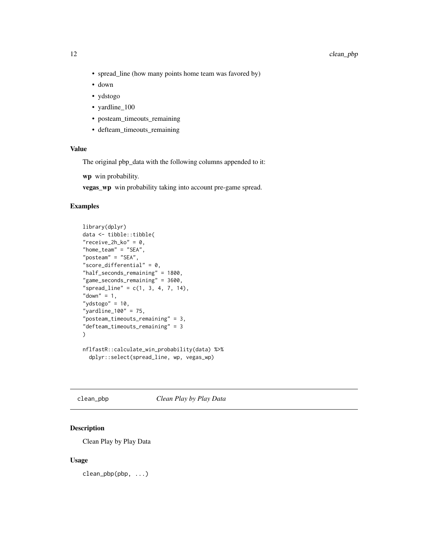- <span id="page-11-0"></span>• spread\_line (how many points home team was favored by)
- down
- ydstogo
- yardline\_100
- posteam\_timeouts\_remaining
- defteam\_timeouts\_remaining

#### Value

The original pbp\_data with the following columns appended to it:

wp win probability.

vegas\_wp win probability taking into account pre-game spread.

#### Examples

```
library(dplyr)
data <- tibble::tibble(
"receive_2h_ko" = 0,
"home\_team" = "SEA","posteam" = "SEA","score_differential" = 0,"half_seconds_remaining" = 1800,
"game_seconds_remaining" = 3600,
"spread_line" = c(1, 3, 4, 7, 14),
"down" = 1,
"ydstogo" = 10,
"yardline_100" = 75,
"posteam_timeouts_remaining" = 3,
"defteam_timeouts_remaining" = 3
\mathcal{L}nflfastR::calculate_win_probability(data) %>%
  dplyr::select(spread_line, wp, vegas_wp)
```
<span id="page-11-1"></span>clean\_pbp *Clean Play by Play Data*

# Description

Clean Play by Play Data

#### Usage

clean\_pbp(pbp, ...)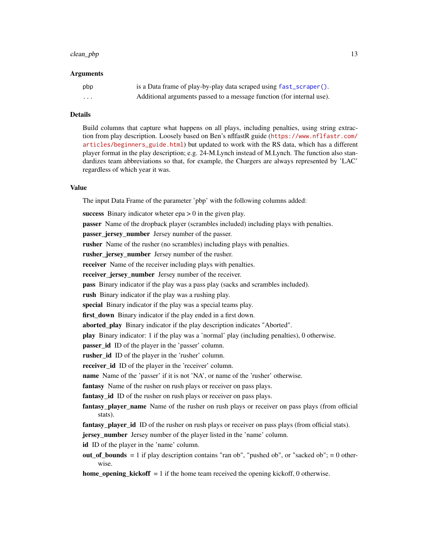#### <span id="page-12-0"></span>clean\_pbp 13

#### Arguments

| pbp      | is a Data frame of play-by-play data scraped using fast_scraper().    |
|----------|-----------------------------------------------------------------------|
| $\cdots$ | Additional arguments passed to a message function (for internal use). |

# Details

Build columns that capture what happens on all plays, including penalties, using string extraction from play description. Loosely based on Ben's nflfastR guide ([https://www.nflfastr.com/](https://www.nflfastr.com/articles/beginners_guide.html) [articles/beginners\\_guide.html](https://www.nflfastr.com/articles/beginners_guide.html)) but updated to work with the RS data, which has a different player format in the play description; e.g. 24-M.Lynch instead of M.Lynch. The function also standardizes team abbreviations so that, for example, the Chargers are always represented by 'LAC' regardless of which year it was.

#### Value

The input Data Frame of the parameter 'pbp' with the following columns added:

success Binary indicator wheter  $epa > 0$  in the given play.

passer Name of the dropback player (scrambles included) including plays with penalties.

passer\_jersey\_number Jersey number of the passer.

rusher Name of the rusher (no scrambles) including plays with penalties.

rusher\_jersey\_number Jersey number of the rusher.

receiver Name of the receiver including plays with penalties.

receiver\_jersey\_number Jersey number of the receiver.

pass Binary indicator if the play was a pass play (sacks and scrambles included).

rush Binary indicator if the play was a rushing play.

special Binary indicator if the play was a special teams play.

first\_down Binary indicator if the play ended in a first down.

aborted play Binary indicator if the play description indicates "Aborted".

play Binary indicator: 1 if the play was a 'normal' play (including penalties), 0 otherwise.

passer\_id ID of the player in the 'passer' column.

rusher id ID of the player in the 'rusher' column.

receiver\_id ID of the player in the 'receiver' column.

name Name of the 'passer' if it is not 'NA', or name of the 'rusher' otherwise.

fantasy Name of the rusher on rush plays or receiver on pass plays.

fantasy\_id ID of the rusher on rush plays or receiver on pass plays.

fantasy\_player\_name Name of the rusher on rush plays or receiver on pass plays (from official stats).

fantasy player id ID of the rusher on rush plays or receiver on pass plays (from official stats).

jersey\_number Jersey number of the player listed in the 'name' column.

id ID of the player in the 'name' column.

out of bounds  $= 1$  if play description contains "ran ob", "pushed ob", or "sacked ob";  $= 0$  otherwise.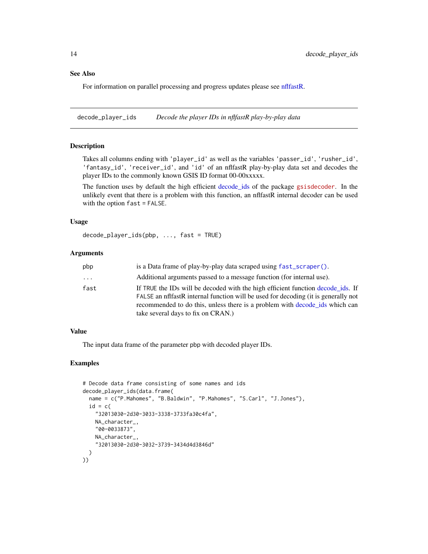#### <span id="page-13-0"></span>See Also

For information on parallel processing and progress updates please see [nflfastR.](#page-1-1)

<span id="page-13-1"></span>decode\_player\_ids *Decode the player IDs in nflfastR play-by-play data*

# Description

Takes all columns ending with 'player\_id' as well as the variables 'passer\_id', 'rusher\_id', 'fantasy\_id', 'receiver\_id', and 'id' of an nflfastR play-by-play data set and decodes the player IDs to the commonly known GSIS ID format 00-00xxxxx.

The function uses by default the high efficient [decode\\_ids](#page-0-0) of the package [gsisdecoder](https://cran.r-project.org/package=gsisdecoder). In the unlikely event that there is a problem with this function, an nflfastR internal decoder can be used with the option fast = FALSE.

#### Usage

decode\_player\_ids(pbp, ..., fast = TRUE)

# Arguments

| pbp  | is a Data frame of play-by-play data scraped using fast_scraper().                                                                                                    |
|------|-----------------------------------------------------------------------------------------------------------------------------------------------------------------------|
| .    | Additional arguments passed to a message function (for internal use).                                                                                                 |
| fast | If TRUE the IDs will be decoded with the high efficient function decode ids. If<br>FALSE an infrastR internal function will be used for decoding (it is generally not |
|      | recommended to do this, unless there is a problem with decode_ids which can                                                                                           |
|      | take several days to fix on CRAN.)                                                                                                                                    |

# Value

The input data frame of the parameter pbp with decoded player IDs.

#### Examples

```
# Decode data frame consisting of some names and ids
decode_player_ids(data.frame(
 name = c("P.Mahomes", "B.Baldwin", "P.Mahomes", "S.Carl", "J.Jones"),
 id = c("32013030-2d30-3033-3338-3733fa30c4fa",
   NA_character_,
   "00-0033873",
   NA_character_,
    "32013030-2d30-3032-3739-3434d4d3846d"
 )
))
```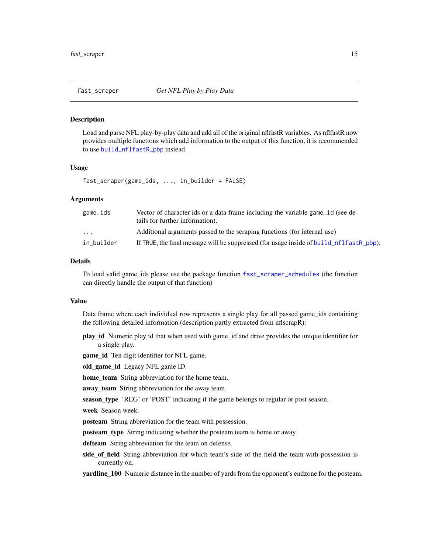<span id="page-14-1"></span><span id="page-14-0"></span>

#### Description

Load and parse NFL play-by-play data and add all of the original nflfastR variables. As nflfastR now provides multiple functions which add information to the output of this function, it is recommended to use [build\\_nflfastR\\_pbp](#page-5-1) instead.

#### Usage

fast\_scraper(game\_ids, ..., in\_builder = FALSE)

#### Arguments

| game_ids                | Vector of character ids or a data frame including the variable game id (see de-<br>tails for further information). |
|-------------------------|--------------------------------------------------------------------------------------------------------------------|
| $\cdot$ $\cdot$ $\cdot$ | Additional arguments passed to the scraping functions (for internal use)                                           |
| in builder              | If TRUE, the final message will be suppressed (for usage inside of build_nflfastR_pbp).                            |

# Details

To load valid game\_ids please use the package function [fast\\_scraper\\_schedules](#page-27-1) (the function can directly handle the output of that function)

#### Value

Data frame where each individual row represents a single play for all passed game\_ids containing the following detailed information (description partly extracted from nflscrapR):

play\_id Numeric play id that when used with game\_id and drive provides the unique identifier for a single play.

game\_id Ten digit identifier for NFL game.

old\_game\_id Legacy NFL game ID.

home\_team String abbreviation for the home team.

away\_team String abbreviation for the away team.

season\_type 'REG' or 'POST' indicating if the game belongs to regular or post season.

week Season week.

posteam String abbreviation for the team with possession.

posteam\_type String indicating whether the posteam team is home or away.

defteam String abbreviation for the team on defense.

side\_of\_field String abbreviation for which team's side of the field the team with possession is currently on.

yardline\_100 Numeric distance in the number of yards from the opponent's endzone for the posteam.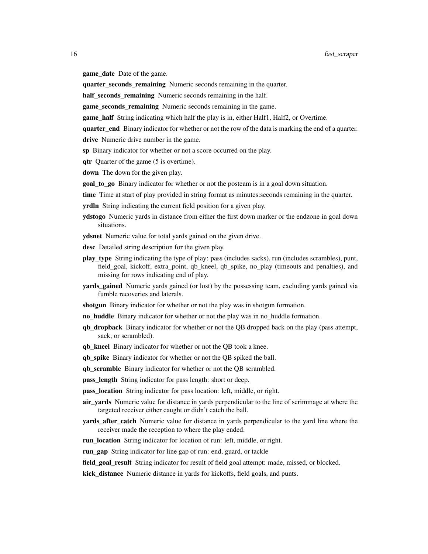game\_date Date of the game.

quarter\_seconds\_remaining Numeric seconds remaining in the quarter.

half\_seconds\_remaining Numeric seconds remaining in the half.

game\_seconds\_remaining Numeric seconds remaining in the game.

**game\_half** String indicating which half the play is in, either Half1, Half2, or Overtime.

quarter end Binary indicator for whether or not the row of the data is marking the end of a quarter.

drive Numeric drive number in the game.

sp Binary indicator for whether or not a score occurred on the play.

qtr Quarter of the game (5 is overtime).

down The down for the given play.

goal\_to\_go Binary indicator for whether or not the posteam is in a goal down situation.

time Time at start of play provided in string format as minutes: seconds remaining in the quarter.

**yrdln** String indicating the current field position for a given play.

ydstogo Numeric yards in distance from either the first down marker or the endzone in goal down situations.

ydsnet Numeric value for total yards gained on the given drive.

- desc Detailed string description for the given play.
- play\_type String indicating the type of play: pass (includes sacks), run (includes scrambles), punt, field\_goal, kickoff, extra\_point, qb\_kneel, qb\_spike, no\_play (timeouts and penalties), and missing for rows indicating end of play.
- **vards gained** Numeric yards gained (or lost) by the possessing team, excluding yards gained via fumble recoveries and laterals.

shotgun Binary indicator for whether or not the play was in shotgun formation.

- no huddle Binary indicator for whether or not the play was in no\_huddle formation.
- qb\_dropback Binary indicator for whether or not the QB dropped back on the play (pass attempt, sack, or scrambled).
- qb\_kneel Binary indicator for whether or not the QB took a knee.

qb\_spike Binary indicator for whether or not the QB spiked the ball.

qb\_scramble Binary indicator for whether or not the QB scrambled.

pass\_length String indicator for pass length: short or deep.

pass\_location String indicator for pass location: left, middle, or right.

- air\_yards Numeric value for distance in yards perpendicular to the line of scrimmage at where the targeted receiver either caught or didn't catch the ball.
- yards\_after\_catch Numeric value for distance in yards perpendicular to the yard line where the receiver made the reception to where the play ended.
- run\_location String indicator for location of run: left, middle, or right.

**run\_gap** String indicator for line gap of run: end, guard, or tackle

**field goal result** String indicator for result of field goal attempt: made, missed, or blocked.

kick\_distance Numeric distance in yards for kickoffs, field goals, and punts.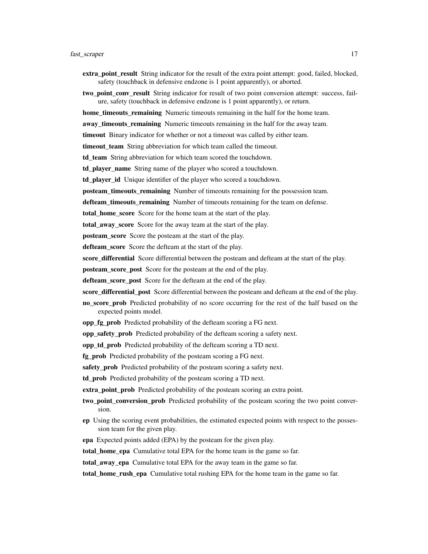- extra\_point\_result String indicator for the result of the extra point attempt: good, failed, blocked, safety (touchback in defensive endzone is 1 point apparently), or aborted.
- two\_point\_conv\_result String indicator for result of two point conversion attempt: success, failure, safety (touchback in defensive endzone is 1 point apparently), or return.
- home timeouts remaining Numeric timeouts remaining in the half for the home team.
- away\_timeouts\_remaining Numeric timeouts remaining in the half for the away team.
- timeout Binary indicator for whether or not a timeout was called by either team.
- timeout\_team String abbreviation for which team called the timeout.
- td\_team String abbreviation for which team scored the touchdown.
- td\_player\_name String name of the player who scored a touchdown.
- td\_player\_id Unique identifier of the player who scored a touchdown.
- posteam\_timeouts\_remaining Number of timeouts remaining for the possession team.
- defteam\_timeouts\_remaining Number of timeouts remaining for the team on defense.
- total home score Score for the home team at the start of the play.
- total\_away\_score Score for the away team at the start of the play.
- **posteam** score Score the posteam at the start of the play.
- defteam score Score the defteam at the start of the play.
- score\_differential Score differential between the posteam and defteam at the start of the play.
- posteam\_score\_post Score for the posteam at the end of the play.
- defteam score post Score for the defteam at the end of the play.
- score differential post Score differential between the posteam and defteam at the end of the play.
- no score prob Predicted probability of no score occurring for the rest of the half based on the expected points model.
- opp\_fg\_prob Predicted probability of the defteam scoring a FG next.
- opp\_safety\_prob Predicted probability of the defteam scoring a safety next.
- opp td prob Predicted probability of the defteam scoring a TD next.
- **fg\_prob** Predicted probability of the posteam scoring a FG next.
- safety\_prob Predicted probability of the posteam scoring a safety next.
- td prob Predicted probability of the posteam scoring a TD next.
- extra point prob Predicted probability of the posteam scoring an extra point.
- two\_point\_conversion\_prob Predicted probability of the posteam scoring the two point conversion.
- ep Using the scoring event probabilities, the estimated expected points with respect to the possession team for the given play.
- epa Expected points added (EPA) by the posteam for the given play.
- total home epa Cumulative total EPA for the home team in the game so far.
- total away epa Cumulative total EPA for the away team in the game so far.
- total\_home\_rush\_epa Cumulative total rushing EPA for the home team in the game so far.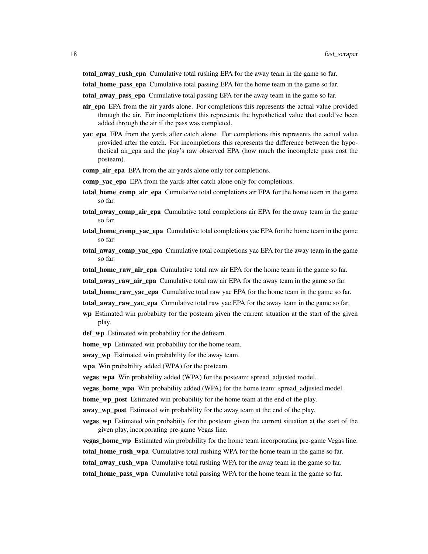total\_away\_rush\_epa Cumulative total rushing EPA for the away team in the game so far.

total\_home\_pass\_epa Cumulative total passing EPA for the home team in the game so far.

total\_away\_pass\_epa Cumulative total passing EPA for the away team in the game so far.

- air epa EPA from the air yards alone. For completions this represents the actual value provided through the air. For incompletions this represents the hypothetical value that could've been added through the air if the pass was completed.
- yac\_epa EPA from the yards after catch alone. For completions this represents the actual value provided after the catch. For incompletions this represents the difference between the hypothetical air\_epa and the play's raw observed EPA (how much the incomplete pass cost the posteam).
- comp\_air\_epa EPA from the air yards alone only for completions.
- comp\_yac\_epa EPA from the yards after catch alone only for completions.
- total\_home\_comp\_air\_epa Cumulative total completions air EPA for the home team in the game so far.
- total\_away\_comp\_air\_epa Cumulative total completions air EPA for the away team in the game so far.
- total\_home\_comp\_yac\_epa Cumulative total completions yac EPA for the home team in the game so far.
- total\_away\_comp\_yac\_epa Cumulative total completions yac EPA for the away team in the game so far.
- total\_home\_raw\_air\_epa Cumulative total raw air EPA for the home team in the game so far.
- total\_away\_raw\_air\_epa Cumulative total raw air EPA for the away team in the game so far.
- total\_home\_raw\_yac\_epa Cumulative total raw yac EPA for the home team in the game so far.
- total\_away\_raw\_yac\_epa Cumulative total raw yac EPA for the away team in the game so far.
- wp Estimated win probabiity for the posteam given the current situation at the start of the given play.

def\_wp Estimated win probability for the defteam.

home\_wp Estimated win probability for the home team.

away wp Estimated win probability for the away team.

wpa Win probability added (WPA) for the posteam.

vegas\_wpa Win probability added (WPA) for the posteam: spread\_adjusted model.

vegas\_home\_wpa Win probability added (WPA) for the home team: spread\_adjusted model.

home\_wp\_post Estimated win probability for the home team at the end of the play.

away wp post Estimated win probability for the away team at the end of the play.

- **vegas** wp Estimated win probabiity for the posteam given the current situation at the start of the given play, incorporating pre-game Vegas line.
- vegas\_home\_wp Estimated win probability for the home team incorporating pre-game Vegas line.
- **total\_home\_rush\_wpa** Cumulative total rushing WPA for the home team in the game so far.
- total\_away\_rush\_wpa Cumulative total rushing WPA for the away team in the game so far.

total\_home\_pass\_wpa Cumulative total passing WPA for the home team in the game so far.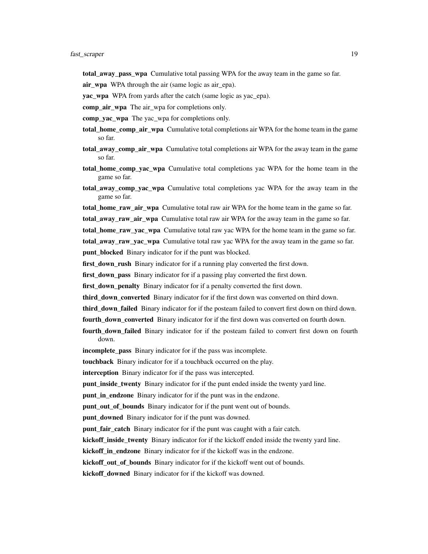total\_away\_pass\_wpa Cumulative total passing WPA for the away team in the game so far.

air\_wpa WPA through the air (same logic as air\_epa).

yac wpa WPA from yards after the catch (same logic as yac epa).

comp\_air\_wpa The air\_wpa for completions only.

- comp\_yac\_wpa The yac\_wpa for completions only.
- total home comp air wpa Cumulative total completions air WPA for the home team in the game so far.
- total\_away\_comp\_air\_wpa Cumulative total completions air WPA for the away team in the game so far.
- total\_home\_comp\_yac\_wpa Cumulative total completions yac WPA for the home team in the game so far.
- total away comp yac wpa Cumulative total completions yac WPA for the away team in the game so far.
- total\_home\_raw\_air\_wpa Cumulative total raw air WPA for the home team in the game so far.
- total\_away\_raw\_air\_wpa Cumulative total raw air WPA for the away team in the game so far.
- total\_home\_raw\_yac\_wpa Cumulative total raw yac WPA for the home team in the game so far.

total\_away\_raw\_yac\_wpa Cumulative total raw yac WPA for the away team in the game so far.

punt\_blocked Binary indicator for if the punt was blocked.

**first down rush** Binary indicator for if a running play converted the first down.

first down pass Binary indicator for if a passing play converted the first down.

first\_down\_penalty Binary indicator for if a penalty converted the first down.

third down converted Binary indicator for if the first down was converted on third down.

third\_down\_failed Binary indicator for if the posteam failed to convert first down on third down.

- fourth\_down\_converted Binary indicator for if the first down was converted on fourth down.
- fourth\_down\_failed Binary indicator for if the posteam failed to convert first down on fourth down.
- incomplete\_pass Binary indicator for if the pass was incomplete.

touchback Binary indicator for if a touchback occurred on the play.

interception Binary indicator for if the pass was intercepted.

punt\_inside\_twenty Binary indicator for if the punt ended inside the twenty yard line.

**punt\_in\_endzone** Binary indicator for if the punt was in the endzone.

punt out of bounds Binary indicator for if the punt went out of bounds.

punt\_downed Binary indicator for if the punt was downed.

**punt\_fair\_catch** Binary indicator for if the punt was caught with a fair catch.

kickoff\_inside\_twenty Binary indicator for if the kickoff ended inside the twenty yard line.

kickoff in endzone Binary indicator for if the kickoff was in the endzone.

kickoff out of bounds Binary indicator for if the kickoff went out of bounds.

kickoff\_downed Binary indicator for if the kickoff was downed.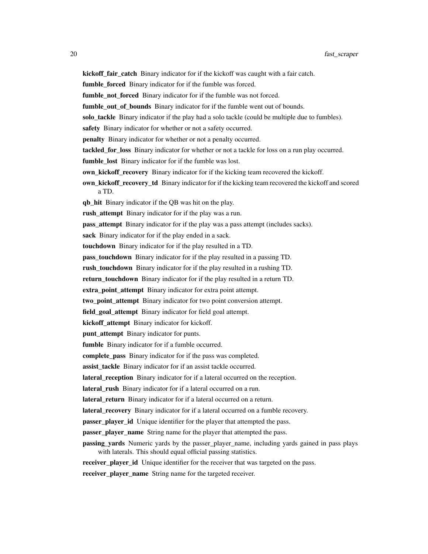kickoff\_fair\_catch Binary indicator for if the kickoff was caught with a fair catch.

fumble\_forced Binary indicator for if the fumble was forced.

fumble\_not\_forced Binary indicator for if the fumble was not forced.

fumble out of bounds Binary indicator for if the fumble went out of bounds.

solo tackle Binary indicator if the play had a solo tackle (could be multiple due to fumbles).

safety Binary indicator for whether or not a safety occurred.

penalty Binary indicator for whether or not a penalty occurred.

tackled\_for\_loss Binary indicator for whether or not a tackle for loss on a run play occurred.

fumble\_lost Binary indicator for if the fumble was lost.

own\_kickoff\_recovery Binary indicator for if the kicking team recovered the kickoff.

**own\_kickoff\_recovery\_td** Binary indicator for if the kicking team recovered the kickoff and scored a TD.

qb\_hit Binary indicator if the QB was hit on the play.

rush\_attempt Binary indicator for if the play was a run.

**pass attempt** Binary indicator for if the play was a pass attempt (includes sacks).

sack Binary indicator for if the play ended in a sack.

touchdown Binary indicator for if the play resulted in a TD.

pass\_touchdown Binary indicator for if the play resulted in a passing TD.

rush\_touchdown Binary indicator for if the play resulted in a rushing TD.

return touchdown Binary indicator for if the play resulted in a return TD.

extra point attempt Binary indicator for extra point attempt.

two point attempt Binary indicator for two point conversion attempt.

field\_goal\_attempt Binary indicator for field goal attempt.

kickoff\_attempt Binary indicator for kickoff.

punt\_attempt Binary indicator for punts.

fumble Binary indicator for if a fumble occurred.

complete\_pass Binary indicator for if the pass was completed.

assist tackle Binary indicator for if an assist tackle occurred.

lateral\_reception Binary indicator for if a lateral occurred on the reception.

lateral\_rush Binary indicator for if a lateral occurred on a run.

lateral\_return Binary indicator for if a lateral occurred on a return.

lateral\_recovery Binary indicator for if a lateral occurred on a fumble recovery.

passer\_player\_id Unique identifier for the player that attempted the pass.

**passer\_player\_name** String name for the player that attempted the pass.

**passing vards** Numeric yards by the passer player name, including yards gained in pass plays with laterals. This should equal official passing statistics.

receiver player id Unique identifier for the receiver that was targeted on the pass.

receiver\_player\_name String name for the targeted receiver.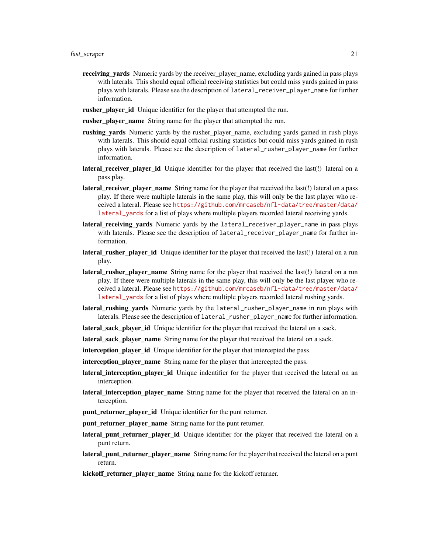- receiving\_yards Numeric yards by the receiver\_player\_name, excluding yards gained in pass plays with laterals. This should equal official receiving statistics but could miss yards gained in pass plays with laterals. Please see the description of lateral\_receiver\_player\_name for further information.
- **rusher\_player\_id** Unique identifier for the player that attempted the run.
- **rusher\_player\_name** String name for the player that attempted the run.
- rushing\_vards Numeric yards by the rusher\_player\_name, excluding yards gained in rush plays with laterals. This should equal official rushing statistics but could miss yards gained in rush plays with laterals. Please see the description of lateral\_rusher\_player\_name for further information.
- lateral\_receiver\_player\_id Unique identifier for the player that received the last(!) lateral on a pass play.
- lateral receiver player name String name for the player that received the last(!) lateral on a pass play. If there were multiple laterals in the same play, this will only be the last player who received a lateral. Please see [https://github.com/mrcaseb/nfl-data/tree/master/data/](https://github.com/mrcaseb/nfl-data/tree/master/data/lateral_yards) [lateral\\_yards](https://github.com/mrcaseb/nfl-data/tree/master/data/lateral_yards) for a list of plays where multiple players recorded lateral receiving yards.
- lateral receiving yards Numeric yards by the lateral\_receiver\_player\_name in pass plays with laterals. Please see the description of lateral\_receiver\_player\_name for further information.
- lateral\_rusher\_player\_id Unique identifier for the player that received the last(!) lateral on a run play.
- lateral\_rusher\_player\_name String name for the player that received the last(!) lateral on a run play. If there were multiple laterals in the same play, this will only be the last player who received a lateral. Please see [https://github.com/mrcaseb/nfl-data/tree/master/data/](https://github.com/mrcaseb/nfl-data/tree/master/data/lateral_yards) [lateral\\_yards](https://github.com/mrcaseb/nfl-data/tree/master/data/lateral_yards) for a list of plays where multiple players recorded lateral rushing yards.
- lateral\_rushing\_yards Numeric yards by the lateral\_rusher\_player\_name in run plays with laterals. Please see the description of lateral\_rusher\_player\_name for further information.
- lateral sack player id Unique identifier for the player that received the lateral on a sack.
- lateral sack player name String name for the player that received the lateral on a sack.
- interception\_player\_id Unique identifier for the player that intercepted the pass.
- interception\_player\_name String name for the player that intercepted the pass.
- **lateral\_interception\_player\_id** Unique indentifier for the player that received the lateral on an interception.
- **lateral\_interception\_player\_name** String name for the player that received the lateral on an interception.
- punt\_returner\_player\_id Unique identifier for the punt returner.
- punt\_returner\_player\_name String name for the punt returner.
- lateral\_punt\_returner\_player\_id Unique identifier for the player that received the lateral on a punt return.
- **lateral\_punt\_returner\_player\_name** String name for the player that received the lateral on a punt return.
- kickoff\_returner\_player\_name String name for the kickoff returner.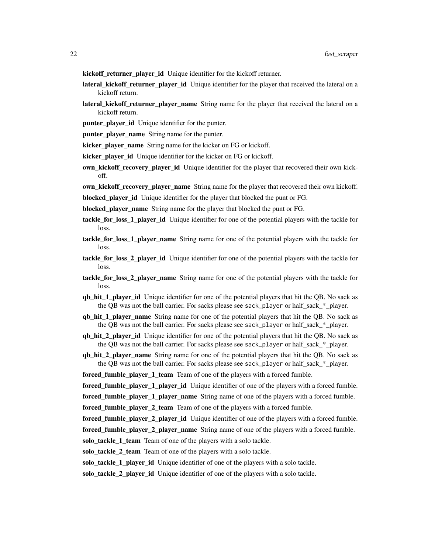- kickoff\_returner\_player\_id Unique identifier for the kickoff returner.
- lateral\_kickoff\_returner\_player\_id Unique identifier for the player that received the lateral on a kickoff return.
- lateral\_kickoff\_returner\_player\_name String name for the player that received the lateral on a kickoff return.
- punter\_player\_id Unique identifier for the punter.
- punter\_player\_name String name for the punter.
- kicker\_player\_name String name for the kicker on FG or kickoff.
- kicker player id Unique identifier for the kicker on FG or kickoff.
- own kickoff recovery player id Unique identifier for the player that recovered their own kickoff.
- own kickoff recovery player name String name for the player that recovered their own kickoff.
- blocked player id Unique identifier for the player that blocked the punt or FG.
- blocked player name String name for the player that blocked the punt or FG.
- tackle\_for\_loss\_1\_player\_id Unique identifier for one of the potential players with the tackle for loss.
- tackle\_for\_loss\_1\_player\_name String name for one of the potential players with the tackle for loss.
- tackle for loss 2 player id Unique identifier for one of the potential players with the tackle for loss.
- **tackle\_for\_loss\_2\_player\_name** String name for one of the potential players with the tackle for loss.
- qb\_hit\_1\_player\_id Unique identifier for one of the potential players that hit the QB. No sack as the QB was not the ball carrier. For sacks please see sack\_player or half\_sack\_\*\_player.
- qb\_hit\_1\_player\_name String name for one of the potential players that hit the QB. No sack as the QB was not the ball carrier. For sacks please see sack\_player or half\_sack\_\*\_player.
- **qb\_hit\_2\_player\_id** Unique identifier for one of the potential players that hit the OB. No sack as the QB was not the ball carrier. For sacks please see sack\_player or half\_sack\_\*\_player.
- **qb\_hit\_2\_player\_name** String name for one of the potential players that hit the OB. No sack as the QB was not the ball carrier. For sacks please see sack\_player or half sack  $*$  player.
- forced fumble player 1 team Team of one of the players with a forced fumble.
- **forced fumble player 1 player id** Unique identifier of one of the players with a forced fumble.
- forced\_fumble\_player\_1\_player\_name String name of one of the players with a forced fumble.
- forced\_fumble\_player\_2\_team Team of one of the players with a forced fumble.
- forced\_fumble\_player\_2\_player\_id Unique identifier of one of the players with a forced fumble.
- forced\_fumble\_player\_2\_player\_name String name of one of the players with a forced fumble.
- solo\_tackle\_1\_team Team of one of the players with a solo tackle.
- solo tackle 2 team Team of one of the players with a solo tackle.
- solo tackle 1 player id Unique identifier of one of the players with a solo tackle.
- solo\_tackle\_2\_player\_id Unique identifier of one of the players with a solo tackle.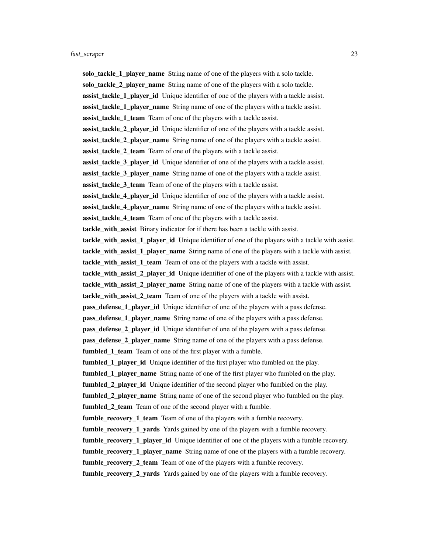solo\_tackle\_1\_player\_name String name of one of the players with a solo tackle. solo\_tackle\_2\_player\_name String name of one of the players with a solo tackle. assist tackle 1 player id Unique identifier of one of the players with a tackle assist. assist\_tackle\_1\_player\_name String name of one of the players with a tackle assist. assist\_tackle\_1\_team Team of one of the players with a tackle assist. assist tackle 2 player id Unique identifier of one of the players with a tackle assist. assist\_tackle\_2\_player\_name String name of one of the players with a tackle assist. assist tackle 2 team Team of one of the players with a tackle assist. assist tackle 3 player id Unique identifier of one of the players with a tackle assist. assist\_tackle\_3\_player\_name String name of one of the players with a tackle assist. assist\_tackle\_3\_team Team of one of the players with a tackle assist. assist\_tackle\_4\_player\_id Unique identifier of one of the players with a tackle assist. assist\_tackle\_4\_player\_name String name of one of the players with a tackle assist. assist tackle 4 team Team of one of the players with a tackle assist. tackle with assist Binary indicator for if there has been a tackle with assist. tackle with assist 1 player id Unique identifier of one of the players with a tackle with assist. tackle with assist 1 player name String name of one of the players with a tackle with assist. tackle\_with\_assist\_1\_team Team of one of the players with a tackle with assist. tackle\_with\_assist\_2\_player\_id Unique identifier of one of the players with a tackle with assist. tackle\_with\_assist\_2\_player\_name String name of one of the players with a tackle with assist. tackle\_with\_assist\_2\_team Team of one of the players with a tackle with assist. pass\_defense\_1\_player\_id Unique identifier of one of the players with a pass defense. pass\_defense\_1\_player\_name String name of one of the players with a pass defense. pass\_defense\_2\_player\_id Unique identifier of one of the players with a pass defense. **pass defense 2 player name** String name of one of the players with a pass defense. fumbled 1 team Team of one of the first player with a fumble. **fumbled** 1 **player id** Unique identifier of the first player who fumbled on the play. fumbled\_1\_player\_name String name of one of the first player who fumbled on the play. fumbled\_2\_player\_id Unique identifier of the second player who fumbled on the play. fumbled\_2\_player\_name String name of one of the second player who fumbled on the play. fumbled\_2\_team Team of one of the second player with a fumble. fumble\_recovery\_1\_team Team of one of the players with a fumble recovery. fumble\_recovery\_1\_yards Yards gained by one of the players with a fumble recovery. **fumble\_recovery\_1\_player\_id** Unique identifier of one of the players with a fumble recovery. fumble\_recovery\_1\_player\_name String name of one of the players with a fumble recovery. fumble recovery 2 team Team of one of the players with a fumble recovery. fumble\_recovery\_2\_yards Yards gained by one of the players with a fumble recovery.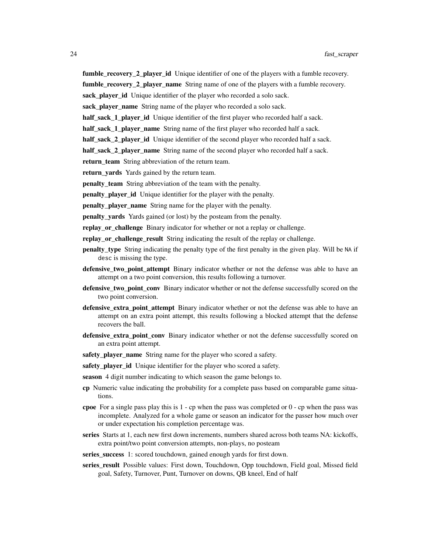fumble\_recovery\_2\_player\_id Unique identifier of one of the players with a fumble recovery.

fumble\_recovery\_2\_player\_name String name of one of the players with a fumble recovery.

sack\_player\_id Unique identifier of the player who recorded a solo sack.

sack\_player\_name String name of the player who recorded a solo sack.

half sack 1 player id Unique identifier of the first player who recorded half a sack.

half sack 1 player name String name of the first player who recorded half a sack.

half sack 2 player id Unique identifier of the second player who recorded half a sack.

half\_sack\_2\_player\_name String name of the second player who recorded half a sack.

return\_team String abbreviation of the return team.

return\_yards Yards gained by the return team.

penalty\_team String abbreviation of the team with the penalty.

**penalty** player id Unique identifier for the player with the penalty.

**penalty** player name String name for the player with the penalty.

**penalty** yards Yards gained (or lost) by the posteam from the penalty.

replay\_or\_challenge Binary indicator for whether or not a replay or challenge.

replay\_or\_challenge\_result String indicating the result of the replay or challenge.

- penalty\_type String indicating the penalty type of the first penalty in the given play. Will be NA if desc is missing the type.
- defensive\_two\_point\_attempt Binary indicator whether or not the defense was able to have an attempt on a two point conversion, this results following a turnover.
- defensive\_two\_point\_conv Binary indicator whether or not the defense successfully scored on the two point conversion.
- defensive\_extra\_point\_attempt Binary indicator whether or not the defense was able to have an attempt on an extra point attempt, this results following a blocked attempt that the defense recovers the ball.
- defensive\_extra\_point\_conv Binary indicator whether or not the defense successfully scored on an extra point attempt.
- safety\_player\_name String name for the player who scored a safety.
- safety\_player\_id Unique identifier for the player who scored a safety.
- season 4 digit number indicating to which season the game belongs to.
- cp Numeric value indicating the probability for a complete pass based on comparable game situations.
- cpoe For a single pass play this is  $1$  cp when the pass was completed or  $0$  cp when the pass was incomplete. Analyzed for a whole game or season an indicator for the passer how much over or under expectation his completion percentage was.
- series Starts at 1, each new first down increments, numbers shared across both teams NA: kickoffs, extra point/two point conversion attempts, non-plays, no posteam
- series\_success 1: scored touchdown, gained enough yards for first down.
- series result Possible values: First down, Touchdown, Opp touchdown, Field goal, Missed field goal, Safety, Turnover, Punt, Turnover on downs, QB kneel, End of half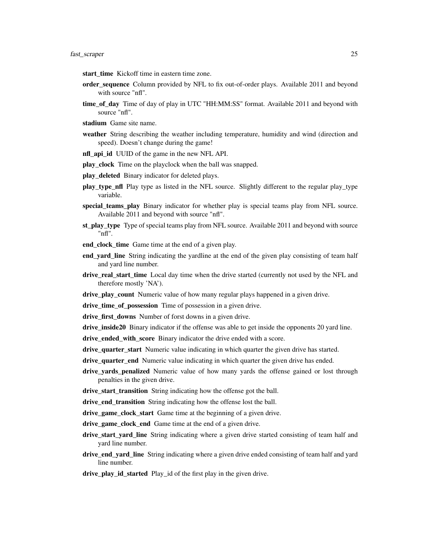- start\_time Kickoff time in eastern time zone.
- order\_sequence Column provided by NFL to fix out-of-order plays. Available 2011 and beyond with source "nfl".
- time\_of\_day Time of day of play in UTC "HH:MM:SS" format. Available 2011 and beyond with source "nfl".
- stadium Game site name.
- weather String describing the weather including temperature, humidity and wind (direction and speed). Doesn't change during the game!
- nfl\_api\_id UUID of the game in the new NFL API.
- play\_clock Time on the playclock when the ball was snapped.
- play\_deleted Binary indicator for deleted plays.
- play type nfl Play type as listed in the NFL source. Slightly different to the regular play type variable.
- special\_teams\_play Binary indicator for whether play is special teams play from NFL source. Available 2011 and beyond with source "nfl".
- st\_play\_type Type of special teams play from NFL source. Available 2011 and beyond with source "nfl".
- end\_clock\_time Game time at the end of a given play.
- end\_yard\_line String indicating the yardline at the end of the given play consisting of team half and yard line number.
- drive\_real\_start\_time\_Local day time when the drive started (currently not used by the NFL and therefore mostly 'NA').
- drive\_play\_count Numeric value of how many regular plays happened in a given drive.
- drive\_time\_of\_possession Time of possession in a given drive.
- drive\_first\_downs Number of forst downs in a given drive.
- drive\_inside20 Binary indicator if the offense was able to get inside the opponents 20 yard line.
- drive\_ended\_with\_score Binary indicator the drive ended with a score.
- drive\_quarter\_start Numeric value indicating in which quarter the given drive has started.
- drive\_quarter\_end Numeric value indicating in which quarter the given drive has ended.
- drive vards penalized Numeric value of how many vards the offense gained or lost through penalties in the given drive.
- drive\_start\_transition String indicating how the offense got the ball.
- drive\_end\_transition String indicating how the offense lost the ball.
- drive game clock start Game time at the beginning of a given drive.
- drive\_game\_clock\_end Game time at the end of a given drive.
- drive\_start\_yard\_line String indicating where a given drive started consisting of team half and yard line number.
- drive\_end\_yard\_line String indicating where a given drive ended consisting of team half and yard line number.
- drive\_play\_id\_started Play\_id of the first play in the given drive.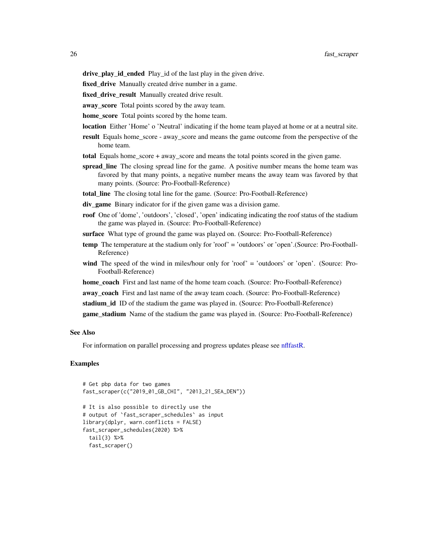<span id="page-25-0"></span>drive\_play\_id\_ended Play\_id of the last play in the given drive.

fixed\_drive Manually created drive number in a game.

fixed\_drive\_result Manually created drive result.

away score Total points scored by the away team.

home\_score Total points scored by the home team.

location Either 'Home' o 'Neutral' indicating if the home team played at home or at a neutral site.

result Equals home score - away score and means the game outcome from the perspective of the home team.

total Equals home\_score + away\_score and means the total points scored in the given game.

- spread\_line The closing spread line for the game. A positive number means the home team was favored by that many points, a negative number means the away team was favored by that many points. (Source: Pro-Football-Reference)
- total\_line The closing total line for the game. (Source: Pro-Football-Reference)
- div\_game Binary indicator for if the given game was a division game.
- roof One of 'dome', 'outdoors', 'closed', 'open' indicating indicating the roof status of the stadium the game was played in. (Source: Pro-Football-Reference)
- surface What type of ground the game was played on. (Source: Pro-Football-Reference)
- temp The temperature at the stadium only for 'roof' = 'outdoors' or 'open'.(Source: Pro-Football-Reference)
- wind The speed of the wind in miles/hour only for 'roof' = 'outdoors' or 'open'. (Source: Pro-Football-Reference)
- home coach First and last name of the home team coach. (Source: Pro-Football-Reference)

away\_coach First and last name of the away team coach. (Source: Pro-Football-Reference)

stadium\_id ID of the stadium the game was played in. (Source: Pro-Football-Reference)

game\_stadium Name of the stadium the game was played in. (Source: Pro-Football-Reference)

#### See Also

For information on parallel processing and progress updates please see [nflfastR.](#page-1-1)

#### Examples

```
# Get pbp data for two games
fast_scraper(c("2019_01_GB_CHI", "2013_21_SEA_DEN"))
# It is also possible to directly use the
# output of `fast_scraper_schedules` as input
library(dplyr, warn.conflicts = FALSE)
fast_scraper_schedules(2020) %>%
 tail(3) %>%
 fast_scraper()
```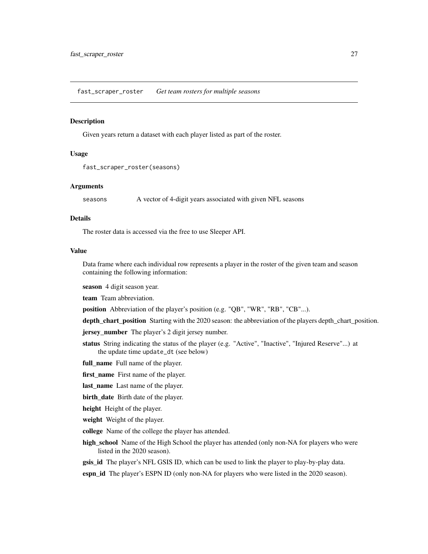<span id="page-26-0"></span>fast\_scraper\_roster *Get team rosters for multiple seasons*

#### Description

Given years return a dataset with each player listed as part of the roster.

# Usage

```
fast_scraper_roster(seasons)
```
#### Arguments

seasons A vector of 4-digit years associated with given NFL seasons

#### Details

The roster data is accessed via the free to use Sleeper API.

#### Value

Data frame where each individual row represents a player in the roster of the given team and season containing the following information:

season 4 digit season year.

team Team abbreviation.

position Abbreviation of the player's position (e.g. "QB", "WR", "RB", "CB"...).

depth\_chart\_position Starting with the 2020 season: the abbreviation of the players depth\_chart\_position.

**jersey** number The player's 2 digit jersey number.

status String indicating the status of the player (e.g. "Active", "Inactive", "Injured Reserve"...) at the update time update\_dt (see below)

full\_name Full name of the player.

first\_name First name of the player.

last name Last name of the player.

birth date Birth date of the player.

height Height of the player.

weight Weight of the player.

- college Name of the college the player has attended.
- high\_school Name of the High School the player has attended (only non-NA for players who were listed in the 2020 season).
- gsis\_id The player's NFL GSIS ID, which can be used to link the player to play-by-play data.

espn\_id The player's ESPN ID (only non-NA for players who were listed in the 2020 season).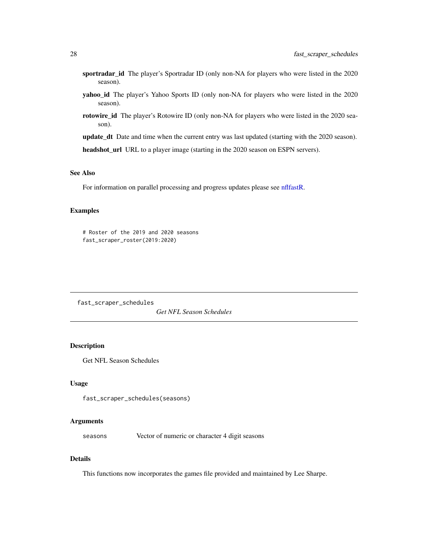- <span id="page-27-0"></span>sportradar\_id The player's Sportradar ID (only non-NA for players who were listed in the 2020 season).
- yahoo\_id The player's Yahoo Sports ID (only non-NA for players who were listed in the 2020 season).
- rotowire\_id The player's Rotowire ID (only non-NA for players who were listed in the 2020 season).

update\_dt Date and time when the current entry was last updated (starting with the 2020 season).

headshot\_url URL to a player image (starting in the 2020 season on ESPN servers).

# See Also

For information on parallel processing and progress updates please see [nflfastR.](#page-1-1)

#### Examples

# Roster of the 2019 and 2020 seasons fast\_scraper\_roster(2019:2020)

<span id="page-27-1"></span>fast\_scraper\_schedules

*Get NFL Season Schedules*

# Description

Get NFL Season Schedules

#### Usage

fast\_scraper\_schedules(seasons)

#### Arguments

seasons Vector of numeric or character 4 digit seasons

# Details

This functions now incorporates the games file provided and maintained by Lee Sharpe.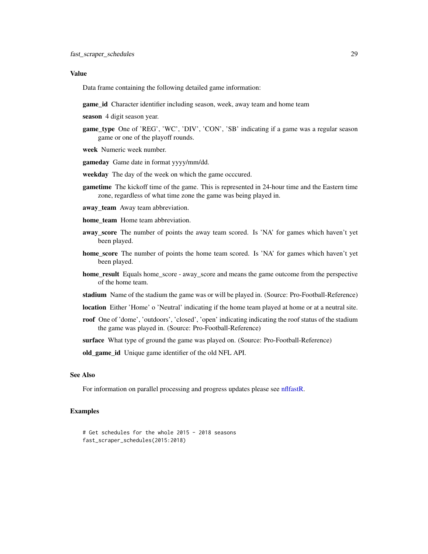#### <span id="page-28-0"></span>Value

Data frame containing the following detailed game information:

game\_id Character identifier including season, week, away team and home team

season 4 digit season year.

- game type One of 'REG', 'WC', 'DIV', 'CON', 'SB' indicating if a game was a regular season game or one of the playoff rounds.
- week Numeric week number.

gameday Game date in format yyyy/mm/dd.

- weekday The day of the week on which the game occcured.
- gametime The kickoff time of the game. This is represented in 24-hour time and the Eastern time zone, regardless of what time zone the game was being played in.
- away\_team Away team abbreviation.
- home team Home team abbreviation.
- away\_score The number of points the away team scored. Is 'NA' for games which haven't yet been played.
- home\_score The number of points the home team scored. Is 'NA' for games which haven't yet been played.
- home\_result Equals home\_score away\_score and means the game outcome from the perspective of the home team.
- stadium Name of the stadium the game was or will be played in. (Source: Pro-Football-Reference)
- location Either 'Home' o 'Neutral' indicating if the home team played at home or at a neutral site.
- roof One of 'dome', 'outdoors', 'closed', 'open' indicating indicating the roof status of the stadium the game was played in. (Source: Pro-Football-Reference)

surface What type of ground the game was played on. (Source: Pro-Football-Reference)

old\_game\_id Unique game identifier of the old NFL API.

#### See Also

For information on parallel processing and progress updates please see [nflfastR.](#page-1-1)

#### Examples

```
# Get schedules for the whole 2015 - 2018 seasons
fast_scraper_schedules(2015:2018)
```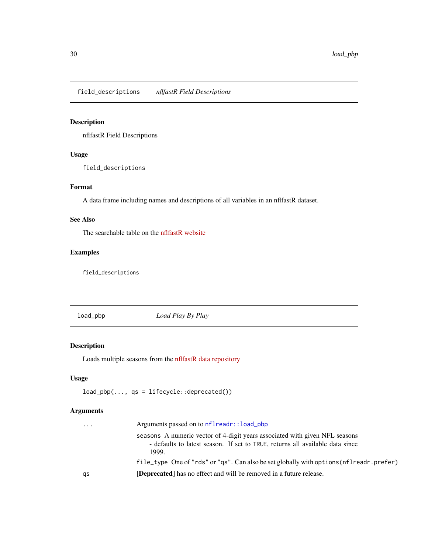<span id="page-29-0"></span>field\_descriptions *nflfastR Field Descriptions*

# Description

nflfastR Field Descriptions

# Usage

field\_descriptions

# Format

A data frame including names and descriptions of all variables in an nflfastR dataset.

# See Also

The searchable table on the [nflfastR website](https://www.nflfastr.com/articles/field_descriptions.html)

# Examples

field\_descriptions

<span id="page-29-1"></span>load\_pbp *Load Play By Play*

# Description

Loads multiple seasons from the [nflfastR data repository](https://github.com/nflverse/nflfastR-data)

# Usage

```
load_pbp(..., qs = lifecycle::deprecated())
```
# Arguments

| $\cdots$ | Arguments passed on to nflreadr::load_pbp                                                                                                                             |
|----------|-----------------------------------------------------------------------------------------------------------------------------------------------------------------------|
|          | seasons A numeric vector of 4-digit years associated with given NFL seasons<br>- defaults to latest season. If set to TRUE, returns all available data since<br>1999. |
|          | file_type One of "rds" or "qs". Can also be set globally with options (nflreadr.prefer)                                                                               |
| qs       | <b>[Deprecated]</b> has no effect and will be removed in a future release.                                                                                            |
|          |                                                                                                                                                                       |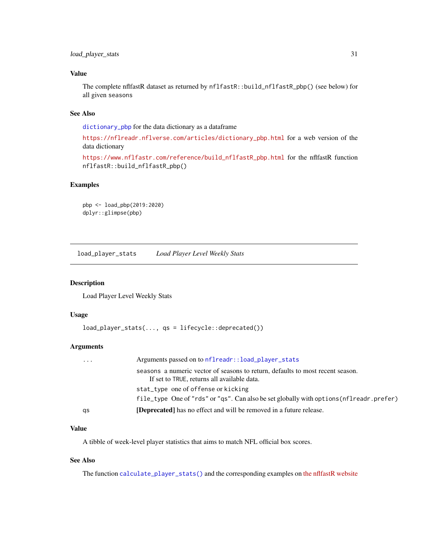# <span id="page-30-0"></span>Value

The complete nflfastR dataset as returned by nflfastR::build\_nflfastR\_pbp() (see below) for all given seasons

# See Also

[dictionary\\_pbp](#page-0-0) for the data dictionary as a dataframe

[https://nflreadr.nflverse.com/articles/dictionary\\_pbp.html](https://nflreadr.nflverse.com/articles/dictionary_pbp.html) for a web version of the data dictionary

[https://www.nflfastr.com/reference/build\\_nflfastR\\_pbp.html](https://www.nflfastr.com/reference/build_nflfastR_pbp.html) for the nflfastR function nflfastR::build\_nflfastR\_pbp()

# Examples

```
pbp <- load_pbp(2019:2020)
dplyr::glimpse(pbp)
```
<span id="page-30-1"></span>load\_player\_stats *Load Player Level Weekly Stats*

#### Description

Load Player Level Weekly Stats

# Usage

```
load_player_stats(..., qs = lifecycle::deprecated())
```
# Arguments

| qs       | <b>[Deprecated]</b> has no effect and will be removed in a future release.                                                    |
|----------|-------------------------------------------------------------------------------------------------------------------------------|
|          | file_type One of "rds" or "qs". Can also be set globally with options (nflreadr.prefer)                                       |
|          | stat_type one of offense or kicking                                                                                           |
|          | seasons a numeric vector of seasons to return, defaults to most recent season.<br>If set to TRUE, returns all available data. |
| $\cdots$ | Arguments passed on to nflreadr::load_player_stats                                                                            |

#### Value

A tibble of week-level player statistics that aims to match NFL official box scores.

# See Also

The function [calculate\\_player\\_stats\(\)](#page-8-1) and the corresponding examples on [the nflfastR website](https://www.nflfastr.com/articles/nflfastR.html#example-11-replicating-official-stats)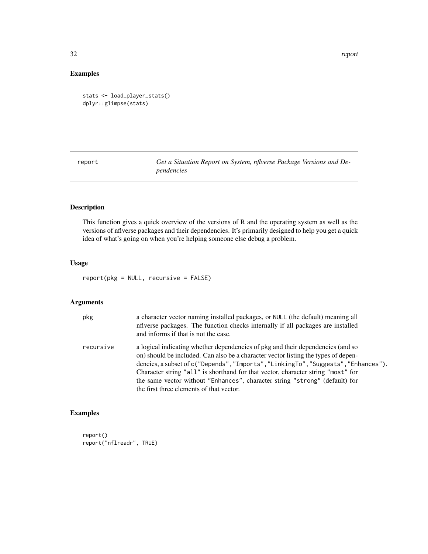<span id="page-31-0"></span>32 report

# Examples

```
stats <- load_player_stats()
dplyr::glimpse(stats)
```
report *Get a Situation Report on System, nflverse Package Versions and Dependencies*

# Description

This function gives a quick overview of the versions of R and the operating system as well as the versions of nflverse packages and their dependencies. It's primarily designed to help you get a quick idea of what's going on when you're helping someone else debug a problem.

# Usage

report(pkg = NULL, recursive = FALSE)

# Arguments

| pkg       | a character vector naming installed packages, or NULL (the default) meaning all<br>influence packages. The function checks internally if all packages are installed<br>and informs if that is not the case.                                                                                                                                                                                                                                                                |
|-----------|----------------------------------------------------------------------------------------------------------------------------------------------------------------------------------------------------------------------------------------------------------------------------------------------------------------------------------------------------------------------------------------------------------------------------------------------------------------------------|
| recursive | a logical indicating whether dependencies of pkg and their dependencies (and so<br>on) should be included. Can also be a character vector listing the types of depen-<br>dencies, a subset of c("Depends", "Imports", "LinkingTo", "Suggests", "Enhances").<br>Character string "all" is shorthand for that vector, character string "most" for<br>the same vector without "Enhances", character string "strong" (default) for<br>the first three elements of that vector. |

# Examples

report() report("nflreadr", TRUE)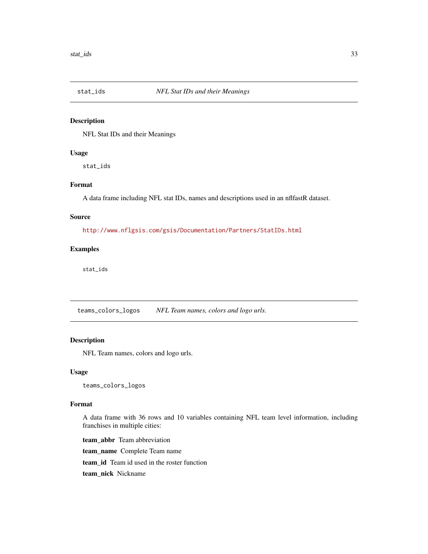<span id="page-32-0"></span>

#### Description

NFL Stat IDs and their Meanings

#### Usage

stat\_ids

# Format

A data frame including NFL stat IDs, names and descriptions used in an nflfastR dataset.

#### Source

<http://www.nflgsis.com/gsis/Documentation/Partners/StatIDs.html>

#### Examples

stat\_ids

teams\_colors\_logos *NFL Team names, colors and logo urls.*

# Description

NFL Team names, colors and logo urls.

#### Usage

teams\_colors\_logos

# Format

A data frame with 36 rows and 10 variables containing NFL team level information, including franchises in multiple cities:

team\_abbr Team abbreviation team\_name Complete Team name team\_id Team id used in the roster function team\_nick Nickname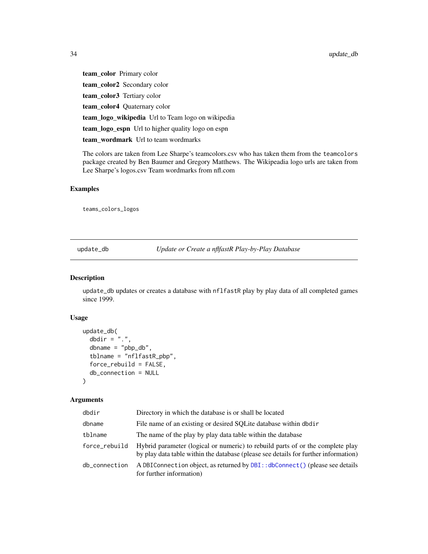<span id="page-33-0"></span>team\_color Primary color team\_color2 Secondary color team\_color3 Tertiary color team\_color4 Quaternary color team\_logo\_wikipedia Url to Team logo on wikipedia team\_logo\_espn Url to higher quality logo on espn team\_wordmark Url to team wordmarks

The colors are taken from Lee Sharpe's teamcolors.csv who has taken them from the teamcolors package created by Ben Baumer and Gregory Matthews. The Wikipeadia logo urls are taken from Lee Sharpe's logos.csv Team wordmarks from nfl.com

# Examples

teams\_colors\_logos

<span id="page-33-1"></span>update\_db *Update or Create a nflfastR Play-by-Play Database*

#### Description

update\_db updates or creates a database with nflfastR play by play data of all completed games since 1999.

#### Usage

```
update_db(
  dbdir = ".".dbname = "pbp_db",tblname = "nflfastR_pbp",
  force_rebuild = FALSE,
  db_connection = NULL
)
```
# Arguments

| dbdir         | Directory in which the database is or shall be located                                                                                                                |
|---------------|-----------------------------------------------------------------------------------------------------------------------------------------------------------------------|
| dbname        | File name of an existing or desired SOLite database within dbdir                                                                                                      |
| tblname       | The name of the play by play data table within the database                                                                                                           |
| force_rebuild | Hybrid parameter (logical or numeric) to rebuild parts of or the complete play<br>by play data table within the database (please see details for further information) |
| db_connection | A DBI Connection object, as returned by DBI:: dbConnect () (please see details<br>for further information)                                                            |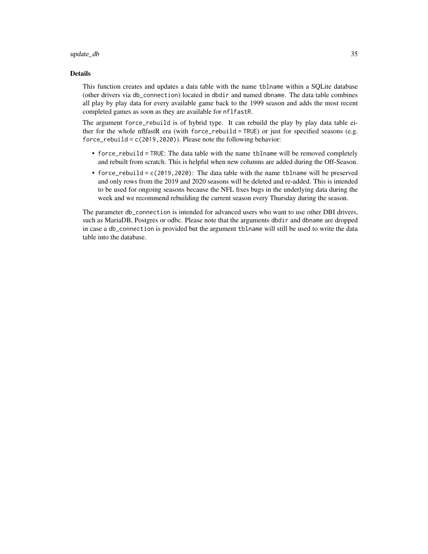#### update\_db 35

#### Details

This function creates and updates a data table with the name tblname within a SQLite database (other drivers via db\_connection) located in dbdir and named dbname. The data table combines all play by play data for every available game back to the 1999 season and adds the most recent completed games as soon as they are available for nflfastR.

The argument force\_rebuild is of hybrid type. It can rebuild the play by play data table either for the whole nflfastR era (with force\_rebuild = TRUE) or just for specified seasons (e.g. force\_rebuild = c(2019,2020)). Please note the following behavior:

- force\_rebuild = TRUE: The data table with the name tblname will be removed completely and rebuilt from scratch. This is helpful when new columns are added during the Off-Season.
- force\_rebuild = c(2019,2020): The data table with the name tblname will be preserved and only rows from the 2019 and 2020 seasons will be deleted and re-added. This is intended to be used for ongoing seasons because the NFL fixes bugs in the underlying data during the week and we recommend rebuilding the current season every Thursday during the season.

The parameter db\_connection is intended for advanced users who want to use other DBI drivers, such as MariaDB, Postgres or odbc. Please note that the arguments dbdir and dbname are dropped in case a db\_connection is provided but the argument tblname will still be used to write the data table into the database.